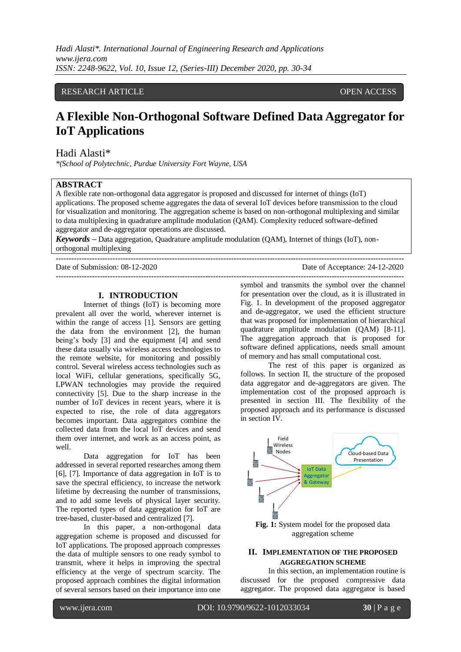*Hadi Alasti\*. International Journal of Engineering Research and Applications www.ijera.com ISSN: 2248-9622, Vol. 10, Issue 12, (Series-III) December 2020, pp. 30-34*

# RESEARCH ARTICLE **CONSERVERS** OPEN ACCESS

# **A Flexible Non-Orthogonal Software Defined Data Aggregator for IoT Applications**

Hadi Alasti\*

*\*(School of Polytechnic, Purdue University Fort Wayne, USA*

## **ABSTRACT**

A flexible rate non-orthogonal data aggregator is proposed and discussed for internet of things (IoT) applications. The proposed scheme aggregates the data of several IoT devices before transmission to the cloud for visualization and monitoring. The aggregation scheme is based on non-orthogonal multiplexing and similar to data multiplexing in quadrature amplitude modulation (QAM). Complexity reduced software-defined aggregator and de-aggregator operations are discussed.

*Keywords* **–** Data aggregation, Quadrature amplitude modulation (QAM), Internet of things (IoT), nonorthogonal multiplexing

Date of Submission: 08-12-2020 Date of Acceptance: 24-12-2020

---------------------------------------------------------------------------------------------------------------------------------------

### **I. INTRODUCTION**

Internet of things (IoT) is becoming more prevalent all over the world, wherever internet is within the range of access [1]. Sensors are getting the data from the environment [2], the human being's body [3] and the equipment [4] and send these data usually via wireless access technologies to the remote website, for monitoring and possibly control. Several wireless access technologies such as local WiFi, cellular generations, specifically 5G, LPWAN technologies may provide the required connectivity [5]. Due to the sharp increase in the number of IoT devices in recent years, where it is expected to rise, the role of data aggregators becomes important. Data aggregators combine the collected data from the local IoT devices and send them over internet, and work as an access point, as well.

Data aggregation for IoT has been addressed in several reported researches among them [6], [7]. Importance of data aggregation in IoT is to save the spectral efficiency, to increase the network lifetime by decreasing the number of transmissions, and to add some levels of physical layer security. The reported types of data aggregation for IoT are tree-based, cluster-based and centralized [7].

In this paper, a non-orthogonal data aggregation scheme is proposed and discussed for IoT applications. The proposed approach compresses the data of multiple sensors to one ready symbol to transmit, where it helps in improving the spectral efficiency at the verge of spectrum scarcity. The proposed approach combines the digital information of several sensors based on their importance into one

symbol and transmits the symbol over the channel for presentation over the cloud, as it is illustrated in Fig. 1. In development of the proposed aggregator and de-aggregator, we used the efficient structure that was proposed for implementation of hierarchical quadrature amplitude modulation (QAM) [8-11]. The aggregation approach that is proposed for software defined applications, needs small amount of memory and has small computational cost.

---------------------------------------------------------------------------------------------------------------------------------------

The rest of this paper is organized as follows. In section II, the structure of the proposed data aggregator and de-aggregators are given. The implementation cost of the proposed approach is presented in section III. The flexibility of the proposed approach and its performance is discussed in section IV.



aggregation scheme

### **II. IMPLEMENTATION OF THE PROPOSED AGGREGATION SCHEME**

In this section, an implementation routine is discussed for the proposed compressive data aggregator. The proposed data aggregator is based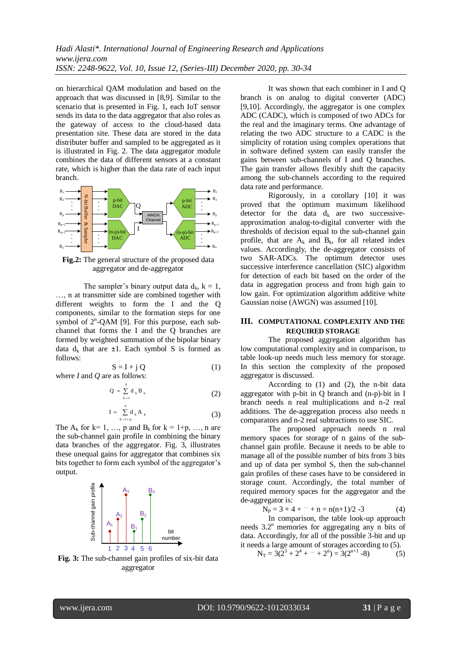on hierarchical QAM modulation and based on the approach that was discussed in [8,9]. Similar to the scenario that is presented in Fig. 1, each IoT sensor sends its data to the data aggregator that also roles as the gateway of access to the cloud-based data presentation site. These data are stored in the data distributer buffer and sampled to be aggregated as it is illustrated in Fig. 2. The data aggregator module combines the data of different sensors at a constant rate, which is higher than the data rate of each input branch.



**Fig.2:** The general structure of the proposed data aggregator and de-aggregator

The sampler's binary output data  $d_k$ ,  $k = 1$ , …, n at transmitter side are combined together with different weights to form the I and the Q components, similar to the formation steps for one symbol of  $2^n$ -QAM [9]. For this purpose, each subchannel that forms the I and the Q branches are formed by weighted summation of the bipolar binary data  $d_k$  that are  $\pm 1$ . Each symbol S is formed as follows:

$$
S = I + j Q
$$
 (1)  
where *I* and *Q* are as follows:

$$
Q = \sum_{k=1}^{p} d_k B_k
$$
 (2)

$$
I = \sum_{k=1+p}^{n} d_k A_k
$$
 (3)

The  $A_k$  for  $k=1, \ldots, p$  and  $B_k$  for  $k=1+p, \ldots, n$  are the sub-channel gain profile in combining the binary data branches of the aggregator. Fig. 3, illustrates these unequal gains for aggregator that combines six bits together to form each symbol of the aggregator's output.



**Fig. 3:** The sub-channel gain profiles of six-bit data aggregator

It was shown that each combiner in I and Q branch is on analog to digital converter (ADC) [9,10]. Accordingly, the aggregator is one complex ADC (CADC), which is composed of two ADCs for the real and the imaginary terms. One advantage of relating the two ADC structure to a CADC is the simplicity of rotation using complex operations that in software defined system can easily transfer the gains between sub-channels of I and Q branches. The gain transfer allows flexibly shift the capacity among the sub-channels according to the required data rate and performance.

Rigorously, in a corollary [10] it was proved that the optimum maximum likelihood detector for the data  $d_k$  are two successiveapproximation analog-to-digital converter with the thresholds of decision equal to the sub-channel gain profile, that are  $A_k$  and  $B_k$ , for all related index values. Accordingly, the de-aggregator consists of two SAR-ADCs. The optimum detector uses successive interference cancellation (SIC) algorithm for detection of each bit based on the order of the data in aggregation process and from high gain to low gain. For optimization algorithm additive white Gaussian noise (AWGN) was assumed [10].

# **III. COMPUTATIONAL COMPLEXITY AND THE REQUIRED STORAGE**

The proposed aggregation algorithm has low computational complexity and in comparison, to table look-up needs much less memory for storage. In this section the complexity of the proposed aggregator is discussed.

According to (1) and (2), the n-bit data aggregator with p-bit in Q branch and (n-p)-bit in I branch needs n real multiplications and n-2 real additions. The de-aggregation process also needs n comparators and n-2 real subtractions to use SIC.

The proposed approach needs n real memory spaces for storage of n gains of the subchannel gain profile. Because it needs to be able to manage all of the possible number of bits from 3 bits and up of data per symbol S, then the sub-channel gain profiles of these cases have to be considered in storage count. Accordingly, the total number of required memory spaces for the aggregator and the de-aggregator is:

$$
N_P = 3 + 4 + \dots + n = n(n+1)/2 - 3 \tag{4}
$$

In comparison, the table look-up approach needs  $3.2<sup>n</sup>$  memories for aggregating any n bits of data. Accordingly, for all of the possible 3-bit and up it needs a large amount of storages according to (5).

 $N_T = 3(2^3 + 2^4 + \dots + 2^n) = 3(2^{n+1} - 8)$  (5)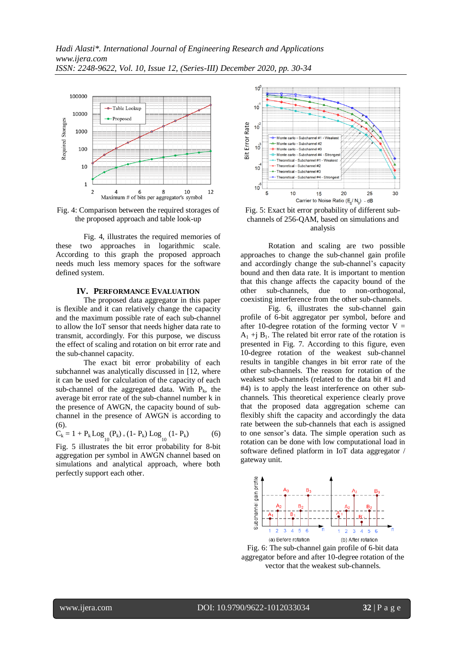

Fig. 4: Comparison between the required storages of the proposed approach and table look-up

Fig. 4, illustrates the required memories of these two approaches in logarithmic scale. According to this graph the proposed approach needs much less memory spaces for the software defined system.

#### **IV. PERFORMANCE EVALUATION**

The proposed data aggregator in this paper is flexible and it can relatively change the capacity and the maximum possible rate of each sub-channel to allow the IoT sensor that needs higher data rate to transmit, accordingly. For this purpose, we discuss the effect of scaling and rotation on bit error rate and the sub-channel capacity.

The exact bit error probability of each subchannel was analytically discussed in [12, where it can be used for calculation of the capacity of each sub-channel of the aggregated data. With  $P_k$ , the average bit error rate of the sub-channel number k in the presence of AWGN, the capacity bound of subchannel in the presence of AWGN is according to  $(6)$ .

$$
C_k = 1 + P_k \text{Log}_{10}(P_k) + (1 - P_k) \text{Log}_{10}(1 - P_k)
$$
 (6)

Fig. 5 illustrates the bit error probability for 8-bit aggregation per symbol in AWGN channel based on simulations and analytical approach, where both perfectly support each other.



Fig. 5: Exact bit error probability of different subchannels of 256-QAM, based on simulations and analysis

Rotation and scaling are two possible approaches to change the sub-channel gain profile and accordingly change the sub-channel's capacity bound and then data rate. It is important to mention that this change affects the capacity bound of the other sub-channels, due to non-orthogonal, coexisting interference from the other sub-channels.

Fig. 6, illustrates the sub-channel gain profile of 6-bit aggregator per symbol, before and after 10-degree rotation of the forming vector  $V =$  $A_1$  +j  $B_1$ . The related bit error rate of the rotation is presented in Fig. 7. According to this figure, even 10-degree rotation of the weakest sub-channel results in tangible changes in bit error rate of the other sub-channels. The reason for rotation of the weakest sub-channels (related to the data bit #1 and #4) is to apply the least interference on other subchannels. This theoretical experience clearly prove that the proposed data aggregation scheme can flexibly shift the capacity and accordingly the data rate between the sub-channels that each is assigned to one sensor's data. The simple operation such as rotation can be done with low computational load in software defined platform in IoT data aggregator / gateway unit.



Fig. 6: The sub-channel gain profile of 6-bit data aggregator before and after 10-degree rotation of the vector that the weakest sub-channels.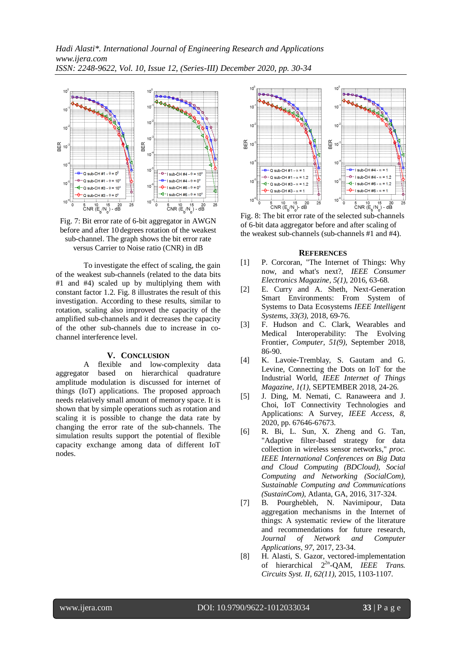*Hadi Alasti\*. International Journal of Engineering Research and Applications www.ijera.com ISSN: 2248-9622, Vol. 10, Issue 12, (Series-III) December 2020, pp. 30-34*



Fig. 7: Bit error rate of 6-bit aggregator in AWGN before and after 10 degrees rotation of the weakest sub-channel. The graph shows the bit error rate versus Carrier to Noise ratio (CNR) in dB

To investigate the effect of scaling, the gain of the weakest sub-channels (related to the data bits #1 and #4) scaled up by multiplying them with constant factor 1.2. Fig. 8 illustrates the result of this investigation. According to these results, similar to rotation, scaling also improved the capacity of the amplified sub-channels and it decreases the capacity of the other sub-channels due to increase in cochannel interference level.

#### **V. CONCLUSION**

A flexible and low-complexity data aggregator based on hierarchical quadrature amplitude modulation is discussed for internet of things (IoT) applications. The proposed approach needs relatively small amount of memory space. It is shown that by simple operations such as rotation and scaling it is possible to change the data rate by changing the error rate of the sub-channels. The simulation results support the potential of flexible capacity exchange among data of different IoT nodes.



Fig. 8: The bit error rate of the selected sub-channels of 6-bit data aggregator before and after scaling of the weakest sub-channels (sub-channels #1 and #4).

#### **REFERENCES**

- [1] P. Corcoran, "The Internet of Things: Why now, and what's next?, *IEEE Consumer Electronics Magazine, 5(1)*, 2016, 63-68.
- [2] E. Curry and A. Sheth, Next-Generation Smart Environments: From System of Systems to Data Ecosystems *IEEE Intelligent Systems*, *33(3)*, 2018, 69-76.
- [3] F. Hudson and C. Clark, Wearables and Medical Interoperability: The Evolving Frontier, *Computer, 51(9)*, September 2018, 86-90.
- [4] K. Lavoie-Tremblay, S. Gautam and G. Levine, Connecting the Dots on IoT for the Industrial World, *IEEE Internet of Things Magazine, 1(1)*, SEPTEMBER 2018, 24-26.
- [5] J. Ding, M. Nemati, C. Ranaweera and J. Choi, IoT Connectivity Technologies and Applications: A Survey, *IEEE Access*, *8*, 2020, pp. 67646-67673.
- [6] R. Bi, L. Sun, X. Zheng and G. Tan, "Adaptive filter-based strategy for data collection in wireless sensor networks," *proc. IEEE International Conferences on Big Data and Cloud Computing (BDCloud), Social Computing and Networking (SocialCom), Sustainable Computing and Communications (SustainCom)*, Atlanta, GA, 2016, 317-324.
- [7] B. Pourghebleh, N. Navimipour, Data aggregation mechanisms in the Internet of things: A systematic review of the literature and recommendations for future research, *Journal of Network and Computer Applications, 97*, 2017, 23-34.
- [8] H. Alasti, S. Gazor, vectored-implementation of hierarchical  $2^{2n}$ -QAM, *IEEE Trans. Circuits Syst. II, 62(11)*, 2015, 1103-1107.